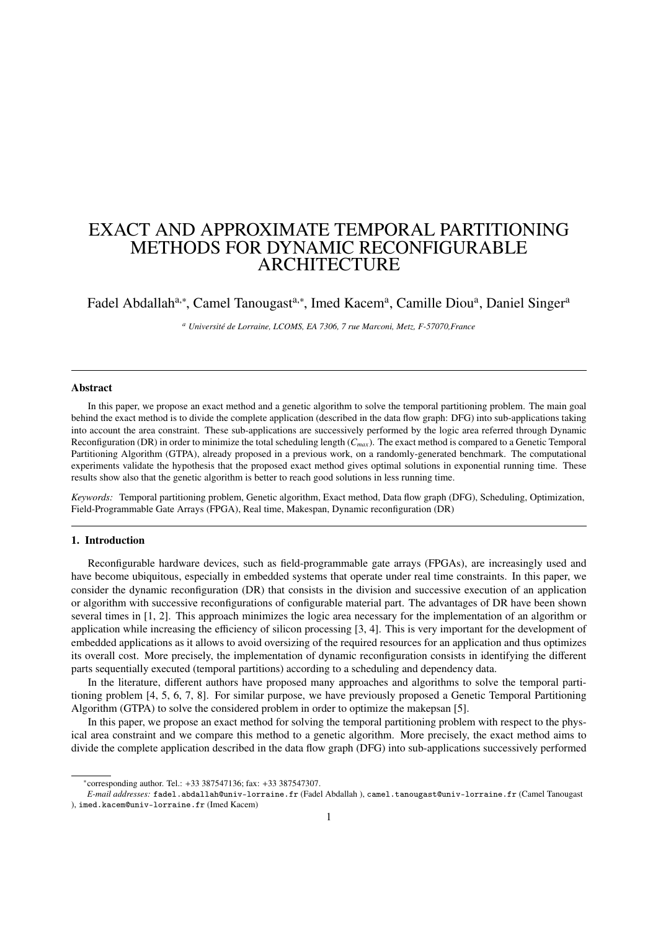# EXACT AND APPROXIMATE TEMPORAL PARTITIONING METHODS FOR DYNAMIC RECONFIGURABLE ARCHITECTURE

Fadel Abdallah<sup>a,∗</sup>, Camel Tanougast<sup>a,∗</sup>, Imed Kacem<sup>a</sup>, Camille Diou<sup>a</sup>, Daniel Singer<sup>a</sup>

*<sup>a</sup> Université de Lorraine, LCOMS, EA 7306, 7 rue Marconi, Metz, F-57070,France*

## Abstract

In this paper, we propose an exact method and a genetic algorithm to solve the temporal partitioning problem. The main goal behind the exact method is to divide the complete application (described in the data flow graph: DFG) into sub-applications taking into account the area constraint. These sub-applications are successively performed by the logic area referred through Dynamic Reconfiguration (DR) in order to minimize the total scheduling length (*Cmax*). The exact method is compared to a Genetic Temporal Partitioning Algorithm (GTPA), already proposed in a previous work, on a randomly-generated benchmark. The computational experiments validate the hypothesis that the proposed exact method gives optimal solutions in exponential running time. These results show also that the genetic algorithm is better to reach good solutions in less running time.

*Keywords:* Temporal partitioning problem, Genetic algorithm, Exact method, Data flow graph (DFG), Scheduling, Optimization, Field-Programmable Gate Arrays (FPGA), Real time, Makespan, Dynamic reconfiguration (DR)

#### 1. Introduction

Reconfigurable hardware devices, such as field-programmable gate arrays (FPGAs), are increasingly used and have become ubiquitous, especially in embedded systems that operate under real time constraints. In this paper, we consider the dynamic reconfiguration (DR) that consists in the division and successive execution of an application or algorithm with successive reconfigurations of configurable material part. The advantages of DR have been shown several times in [1, 2]. This approach minimizes the logic area necessary for the implementation of an algorithm or application while increasing the efficiency of silicon processing [3, 4]. This is very important for the development of embedded applications as it allows to avoid oversizing of the required resources for an application and thus optimizes its overall cost. More precisely, the implementation of dynamic reconfiguration consists in identifying the different parts sequentially executed (temporal partitions) according to a scheduling and dependency data.

In the literature, different authors have proposed many approaches and algorithms to solve the temporal partitioning problem [4, 5, 6, 7, 8]. For similar purpose, we have previously proposed a Genetic Temporal Partitioning Algorithm (GTPA) to solve the considered problem in order to optimize the makepsan [5].

In this paper, we propose an exact method for solving the temporal partitioning problem with respect to the physical area constraint and we compare this method to a genetic algorithm. More precisely, the exact method aims to divide the complete application described in the data flow graph (DFG) into sub-applications successively performed

<sup>∗</sup> corresponding author. Tel.: +33 387547136; fax: +33 387547307.

*E-mail addresses:* fadel.abdallah@univ-lorraine.fr (Fadel Abdallah ), camel.tanougast@univ-lorraine.fr (Camel Tanougast ), imed.kacem@univ-lorraine.fr (Imed Kacem)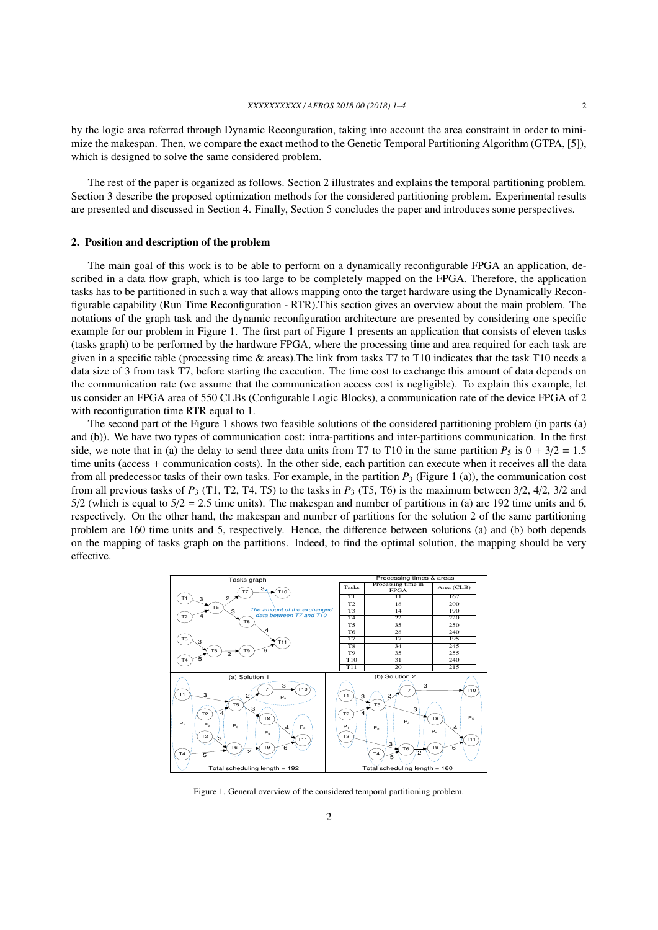by the logic area referred through Dynamic Reconguration, taking into account the area constraint in order to minimize the makespan. Then, we compare the exact method to the Genetic Temporal Partitioning Algorithm (GTPA, [5]), which is designed to solve the same considered problem.

The rest of the paper is organized as follows. Section 2 illustrates and explains the temporal partitioning problem. Section 3 describe the proposed optimization methods for the considered partitioning problem. Experimental results are presented and discussed in Section 4. Finally, Section 5 concludes the paper and introduces some perspectives.

#### 2. Position and description of the problem

The main goal of this work is to be able to perform on a dynamically reconfigurable FPGA an application, described in a data flow graph, which is too large to be completely mapped on the FPGA. Therefore, the application tasks has to be partitioned in such a way that allows mapping onto the target hardware using the Dynamically Reconfigurable capability (Run Time Reconfiguration - RTR).This section gives an overview about the main problem. The notations of the graph task and the dynamic reconfiguration architecture are presented by considering one specific example for our problem in Figure 1. The first part of Figure 1 presents an application that consists of eleven tasks (tasks graph) to be performed by the hardware FPGA, where the processing time and area required for each task are given in a specific table (processing time & areas).The link from tasks T7 to T10 indicates that the task T10 needs a data size of 3 from task T7, before starting the execution. The time cost to exchange this amount of data depends on the communication rate (we assume that the communication access cost is negligible). To explain this example, let us consider an FPGA area of 550 CLBs (Configurable Logic Blocks), a communication rate of the device FPGA of 2 with reconfiguration time RTR equal to 1.

The second part of the Figure 1 shows two feasible solutions of the considered partitioning problem (in parts (a) and (b)). We have two types of communication cost: intra-partitions and inter-partitions communication. In the first side, we note that in (a) the delay to send three data units from T7 to T10 in the same partition  $P_5$  is  $0 + 3/2 = 1.5$ time units (access + communication costs). In the other side, each partition can execute when it receives all the data from all predecessor tasks of their own tasks. For example, in the partition  $P_3$  (Figure 1 (a)), the communication cost from all previous tasks of  $P_3$  (T1, T2, T4, T5) to the tasks in  $P_3$  (T5, T6) is the maximum between  $3/2$ ,  $4/2$ ,  $3/2$  and  $5/2$  (which is equal to  $5/2 = 2.5$  time units). The makespan and number of partitions in (a) are 192 time units and 6, respectively. On the other hand, the makespan and number of partitions for the solution 2 of the same partitioning problem are 160 time units and 5, respectively. Hence, the difference between solutions (a) and (b) both depends on the mapping of tasks graph on the partitions. Indeed, to find the optimal solution, the mapping should be very effective.



Figure 1. General overview of the considered temporal partitioning problem.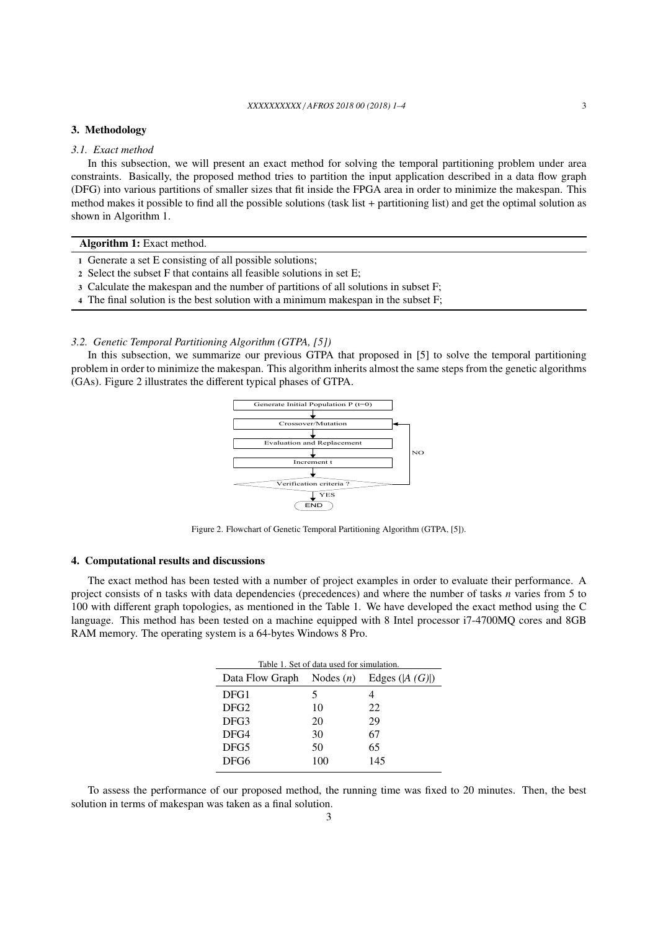#### *XXXXXXXXXX* / *AFROS 2018 00 (2018) 1–4* 3

## 3. Methodology

## *3.1. Exact method*

In this subsection, we will present an exact method for solving the temporal partitioning problem under area constraints. Basically, the proposed method tries to partition the input application described in a data flow graph (DFG) into various partitions of smaller sizes that fit inside the FPGA area in order to minimize the makespan. This method makes it possible to find all the possible solutions (task list + partitioning list) and get the optimal solution as shown in Algorithm 1.

## Algorithm 1: Exact method.

- 1 Generate a set E consisting of all possible solutions;
- 2 Select the subset F that contains all feasible solutions in set E;
- 3 Calculate the makespan and the number of partitions of all solutions in subset F;
- 4 The final solution is the best solution with a minimum makespan in the subset F;

## *3.2. Genetic Temporal Partitioning Algorithm (GTPA, [5])*

In this subsection, we summarize our previous GTPA that proposed in [5] to solve the temporal partitioning problem in order to minimize the makespan. This algorithm inherits almost the same steps from the genetic algorithms (GAs). Figure 2 illustrates the different typical phases of GTPA.



Figure 2. Flowchart of Genetic Temporal Partitioning Algorithm (GTPA, [5]).

## 4. Computational results and discussions

The exact method has been tested with a number of project examples in order to evaluate their performance. A project consists of n tasks with data dependencies (precedences) and where the number of tasks *n* varies from 5 to 100 with different graph topologies, as mentioned in the Table 1. We have developed the exact method using the C language. This method has been tested on a machine equipped with 8 Intel processor i7-4700MQ cores and 8GB RAM memory. The operating system is a 64-bytes Windows 8 Pro.

| Table 1. Set of data used for simulation. |     |                |  |  |  |  |
|-------------------------------------------|-----|----------------|--|--|--|--|
| Data Flow Graph Nodes $(n)$               |     | Edges $(A(G))$ |  |  |  |  |
| DFG1                                      | 5   |                |  |  |  |  |
| DFG <sub>2</sub>                          | 10  | 22             |  |  |  |  |
| DFG3                                      | 20  | 29             |  |  |  |  |
| DFG4                                      | 30  | 67             |  |  |  |  |
| DFG5                                      | 50  | 65             |  |  |  |  |
| DFG6                                      | 100 | 145            |  |  |  |  |
|                                           |     |                |  |  |  |  |

To assess the performance of our proposed method, the running time was fixed to 20 minutes. Then, the best solution in terms of makespan was taken as a final solution.